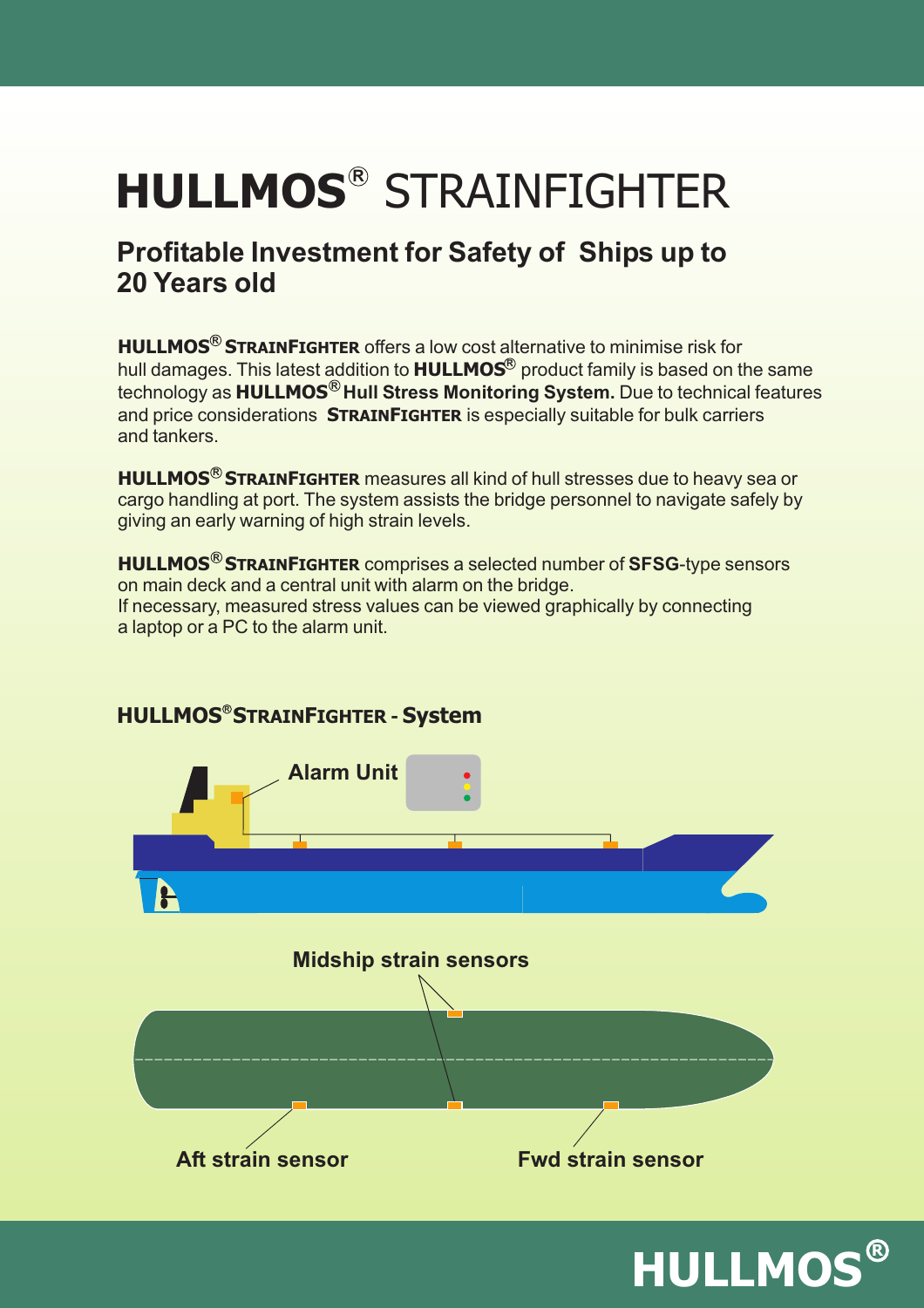# **R HULLMOS** STRAINFIGHTER

### **Profitable Investment for Safety of Ships up to 20 Years old**

**HULLMOS<sup>®</sup> STRAINFIGHTER** offers a low cost alternative to minimise risk for technology as <code>HULLMOS®</code> Hull Stress Monitoring System. Due to technical features hull damages. This latest addition to **HULLMOS**® product family is based on the same and price considerations STRAINFIGHTER is especially suitable for bulk carriers and tankers.

**HULLMOS<sup>®</sup> STRAINFIGHTER** measures all kind of hull stresses due to heavy sea or cargo handling at port. The system assists the bridge personnel to navigate safely by giving an early warning of high strain levels.

**HULLMOS<sup>®</sup> STRAINFIGHTER** comprises a selected number of SFSG-type sensors on main deck and a central unit with alarm on the bridge. If necessary, measured stress values can be viewed graphically by connecting a laptop or a PC to the alarm unit.



#### **R HULLMOS S F TRAIN IGHTER - System**